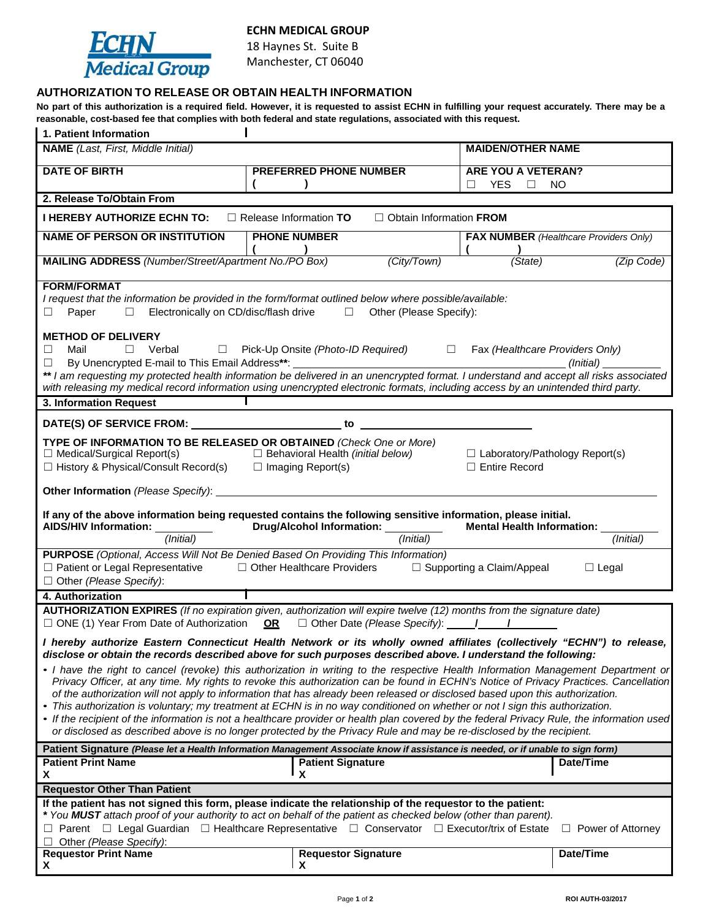

## **ECHN MEDICAL GROUP**

18 Haynes St. Suite B Manchester, CT 06040

# **AUTHORIZATION TO RELEASE OR OBTAIN HEALTH INFORMATION**

No part of this authorization is a required field. However, it is requested to assist ECHN in fulfilling your request accurately. There may be a **reasonable, cost-based fee that complies with both federal and state regulations, associated with this request.**

| 1. Patient Information                                                                                                                                                                                                                                                                                                                                                                                                                                                                                                                                                                                                                                                                                                                                                                                              |                                                                                                                                                                                 |                                                               |
|---------------------------------------------------------------------------------------------------------------------------------------------------------------------------------------------------------------------------------------------------------------------------------------------------------------------------------------------------------------------------------------------------------------------------------------------------------------------------------------------------------------------------------------------------------------------------------------------------------------------------------------------------------------------------------------------------------------------------------------------------------------------------------------------------------------------|---------------------------------------------------------------------------------------------------------------------------------------------------------------------------------|---------------------------------------------------------------|
| <b>NAME</b> (Last, First, Middle Initial)                                                                                                                                                                                                                                                                                                                                                                                                                                                                                                                                                                                                                                                                                                                                                                           |                                                                                                                                                                                 | <b>MAIDEN/OTHER NAME</b>                                      |
| <b>DATE OF BIRTH</b>                                                                                                                                                                                                                                                                                                                                                                                                                                                                                                                                                                                                                                                                                                                                                                                                | <b>PREFERRED PHONE NUMBER</b>                                                                                                                                                   | ARE YOU A VETERAN?<br><b>YES</b><br>□<br>NO.<br>⊔             |
| 2. Release To/Obtain From                                                                                                                                                                                                                                                                                                                                                                                                                                                                                                                                                                                                                                                                                                                                                                                           |                                                                                                                                                                                 |                                                               |
| <b>I HEREBY AUTHORIZE ECHN TO:</b><br>$\Box$ Release Information TO<br>$\Box$ Obtain Information FROM                                                                                                                                                                                                                                                                                                                                                                                                                                                                                                                                                                                                                                                                                                               |                                                                                                                                                                                 |                                                               |
| <b>NAME OF PERSON OR INSTITUTION</b>                                                                                                                                                                                                                                                                                                                                                                                                                                                                                                                                                                                                                                                                                                                                                                                | <b>PHONE NUMBER</b>                                                                                                                                                             | <b>FAX NUMBER</b> (Healthcare Providers Only)                 |
| MAILING ADDRESS (Number/Street/Apartment No./PO Box)                                                                                                                                                                                                                                                                                                                                                                                                                                                                                                                                                                                                                                                                                                                                                                | (City/Town)                                                                                                                                                                     | (State)<br>(Zip Code)                                         |
| <b>FORM/FORMAT</b><br>I request that the information be provided in the form/format outlined below where possible/available:<br>$\Box$ Electronically on CD/disc/flash drive $\Box$ Other (Please Specify):<br>Paper<br>$\Box$                                                                                                                                                                                                                                                                                                                                                                                                                                                                                                                                                                                      |                                                                                                                                                                                 |                                                               |
| <b>METHOD OF DELIVERY</b><br>$\Box$ Verbal $\Box$ Pick-Up Onsite (Photo-ID Required) $\Box$ Fax (Healthcare Providers Only)<br>Mail<br>$\Box$                                                                                                                                                                                                                                                                                                                                                                                                                                                                                                                                                                                                                                                                       |                                                                                                                                                                                 |                                                               |
| with releasing my medical record information using unencrypted electronic formats, including access by an unintended third party.                                                                                                                                                                                                                                                                                                                                                                                                                                                                                                                                                                                                                                                                                   |                                                                                                                                                                                 |                                                               |
| 3. Information Request                                                                                                                                                                                                                                                                                                                                                                                                                                                                                                                                                                                                                                                                                                                                                                                              |                                                                                                                                                                                 |                                                               |
| DATE(S) OF SERVICE FROM: Network and the service of the service of the service of the service of the service of the service of the service of the service of the service of the service of the service of the service of the s<br><u> 1990 - Jan Barbara Barat, prima politik (</u><br>to                                                                                                                                                                                                                                                                                                                                                                                                                                                                                                                           |                                                                                                                                                                                 |                                                               |
| TYPE OF INFORMATION TO BE RELEASED OR OBTAINED (Check One or More)<br>$\Box$ Medical/Surgical Report(s)<br>$\Box$ History & Physical/Consult Record(s) $\Box$ Imaging Report(s)                                                                                                                                                                                                                                                                                                                                                                                                                                                                                                                                                                                                                                     | □ Behavioral Health (initial below)                                                                                                                                             | $\Box$ Laboratory/Pathology Report(s)<br>$\Box$ Entire Record |
|                                                                                                                                                                                                                                                                                                                                                                                                                                                                                                                                                                                                                                                                                                                                                                                                                     |                                                                                                                                                                                 |                                                               |
| If any of the above information being requested contains the following sensitive information, please initial.<br>Drug/Alcohol Information: _________<br>AIDS/HIV Information: __________<br>Mental Health Information: _                                                                                                                                                                                                                                                                                                                                                                                                                                                                                                                                                                                            |                                                                                                                                                                                 |                                                               |
| (Initial)                                                                                                                                                                                                                                                                                                                                                                                                                                                                                                                                                                                                                                                                                                                                                                                                           | (Initial)                                                                                                                                                                       | (Initial)                                                     |
| $\Box$ Other (Please Specify):                                                                                                                                                                                                                                                                                                                                                                                                                                                                                                                                                                                                                                                                                                                                                                                      | PURPOSE (Optional, Access Will Not Be Denied Based On Providing This Information)<br>□ Patient or Legal Representative □ Other Healthcare Providers □ Supporting a Claim/Appeal | $\Box$ Legal                                                  |
| 4. Authorization                                                                                                                                                                                                                                                                                                                                                                                                                                                                                                                                                                                                                                                                                                                                                                                                    |                                                                                                                                                                                 |                                                               |
| AUTHORIZATION EXPIRES (If no expiration given, authorization will expire twelve (12) months from the signature date)<br>$\Box$ ONE (1) Year From Date of Authorization OR $\Box$ Other Date (Please Specify): $\Box$ /                                                                                                                                                                                                                                                                                                                                                                                                                                                                                                                                                                                              |                                                                                                                                                                                 |                                                               |
| I hereby authorize Eastern Connecticut Health Network or its wholly owned affiliates (collectively "ECHN") to release,<br>disclose or obtain the records described above for such purposes described above. I understand the following:                                                                                                                                                                                                                                                                                                                                                                                                                                                                                                                                                                             |                                                                                                                                                                                 |                                                               |
| • I have the right to cancel (revoke) this authorization in writing to the respective Health Information Management Department or<br>Privacy Officer, at any time. My rights to revoke this authorization can be found in ECHN's Notice of Privacy Practices. Cancellation<br>of the authorization will not apply to information that has already been released or disclosed based upon this authorization.<br>• This authorization is voluntary; my treatment at ECHN is in no way conditioned on whether or not I sign this authorization.<br>• If the recipient of the information is not a healthcare provider or health plan covered by the federal Privacy Rule, the information used<br>or disclosed as described above is no longer protected by the Privacy Rule and may be re-disclosed by the recipient. |                                                                                                                                                                                 |                                                               |
|                                                                                                                                                                                                                                                                                                                                                                                                                                                                                                                                                                                                                                                                                                                                                                                                                     | Patient Signature (Please let a Health Information Management Associate know if assistance is needed, or if unable to sign form)                                                |                                                               |
| <b>Patient Print Name</b><br>X                                                                                                                                                                                                                                                                                                                                                                                                                                                                                                                                                                                                                                                                                                                                                                                      | <b>Patient Signature</b><br>X                                                                                                                                                   | Date/Time                                                     |
| <b>Requestor Other Than Patient</b>                                                                                                                                                                                                                                                                                                                                                                                                                                                                                                                                                                                                                                                                                                                                                                                 |                                                                                                                                                                                 |                                                               |
| If the patient has not signed this form, please indicate the relationship of the requestor to the patient:<br>* You MUST attach proof of your authority to act on behalf of the patient as checked below (other than parent).<br>$\Box$ Parent $\Box$ Legal Guardian $\Box$ Healthcare Representative $\Box$ Conservator $\Box$ Executor/trix of Estate<br>$\Box$ Power of Attorney                                                                                                                                                                                                                                                                                                                                                                                                                                 |                                                                                                                                                                                 |                                                               |
| Other (Please Specify):<br>$\Box$                                                                                                                                                                                                                                                                                                                                                                                                                                                                                                                                                                                                                                                                                                                                                                                   |                                                                                                                                                                                 |                                                               |
| <b>Requestor Print Name</b><br>X                                                                                                                                                                                                                                                                                                                                                                                                                                                                                                                                                                                                                                                                                                                                                                                    | <b>Requestor Signature</b><br>X                                                                                                                                                 | Date/Time                                                     |